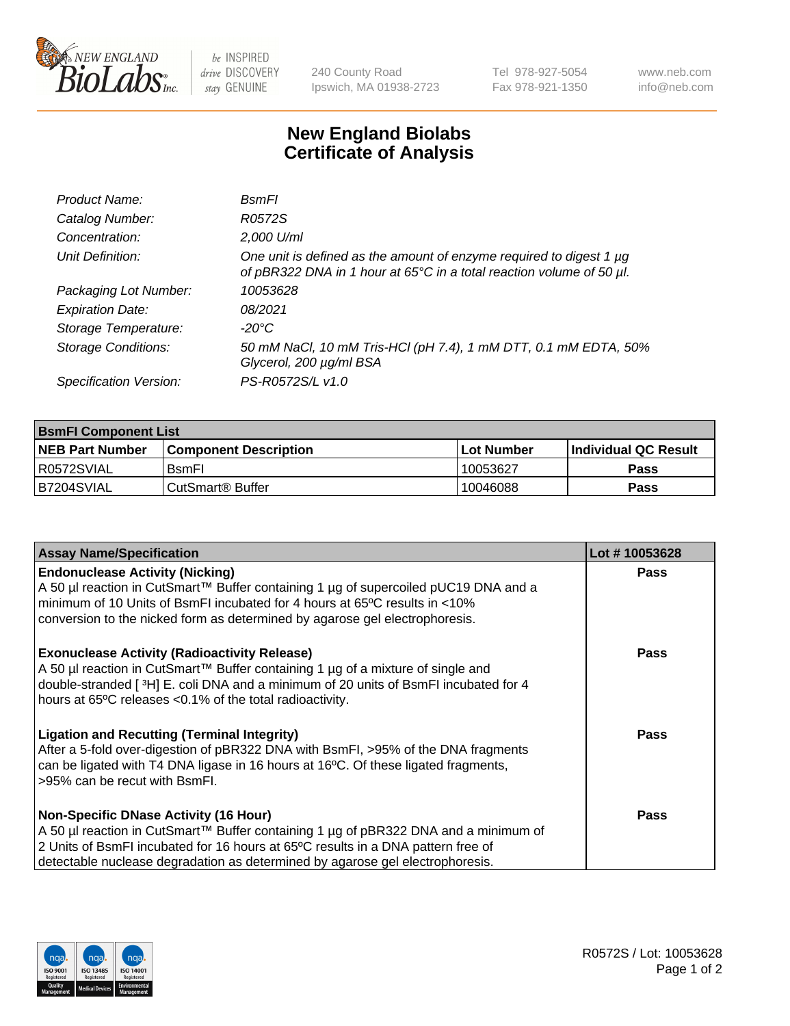

 $be$  INSPIRED drive DISCOVERY stay GENUINE

240 County Road Ipswich, MA 01938-2723 Tel 978-927-5054 Fax 978-921-1350 www.neb.com info@neb.com

## **New England Biolabs Certificate of Analysis**

| Product Name:              | <b>B</b> smFl                                                                                                                               |
|----------------------------|---------------------------------------------------------------------------------------------------------------------------------------------|
| Catalog Number:            | R0572S                                                                                                                                      |
| Concentration:             | 2,000 U/ml                                                                                                                                  |
| Unit Definition:           | One unit is defined as the amount of enzyme required to digest 1 µg<br>of pBR322 DNA in 1 hour at 65°C in a total reaction volume of 50 µl. |
| Packaging Lot Number:      | 10053628                                                                                                                                    |
| <b>Expiration Date:</b>    | 08/2021                                                                                                                                     |
| Storage Temperature:       | -20°C                                                                                                                                       |
| <b>Storage Conditions:</b> | 50 mM NaCl, 10 mM Tris-HCl (pH 7.4), 1 mM DTT, 0.1 mM EDTA, 50%<br>Glycerol, 200 µg/ml BSA                                                  |
| Specification Version:     | PS-R0572S/L v1.0                                                                                                                            |

| <b>BsmFI Component List</b> |                         |              |                             |  |
|-----------------------------|-------------------------|--------------|-----------------------------|--|
| <b>NEB Part Number</b>      | l Component Description | l Lot Number | <b>Individual QC Result</b> |  |
| I R0572SVIAL                | <b>B</b> smFI           | 10053627     | Pass                        |  |
| IB7204SVIAL                 | l CutSmart® Buffer_     | 10046088     | Pass                        |  |

| <b>Assay Name/Specification</b>                                                                                                                                                                                                                                                                          | Lot #10053628 |
|----------------------------------------------------------------------------------------------------------------------------------------------------------------------------------------------------------------------------------------------------------------------------------------------------------|---------------|
| <b>Endonuclease Activity (Nicking)</b><br>A 50 µl reaction in CutSmart™ Buffer containing 1 µg of supercoiled pUC19 DNA and a<br>minimum of 10 Units of BsmFI incubated for 4 hours at 65°C results in <10%<br>conversion to the nicked form as determined by agarose gel electrophoresis.               | <b>Pass</b>   |
| <b>Exonuclease Activity (Radioactivity Release)</b><br>A 50 µl reaction in CutSmart™ Buffer containing 1 µg of a mixture of single and<br>double-stranded [3H] E. coli DNA and a minimum of 20 units of BsmFI incubated for 4<br>hours at 65°C releases <0.1% of the total radioactivity.                | Pass          |
| <b>Ligation and Recutting (Terminal Integrity)</b><br>After a 5-fold over-digestion of pBR322 DNA with BsmFI, >95% of the DNA fragments<br>can be ligated with T4 DNA ligase in 16 hours at 16°C. Of these ligated fragments,<br>>95% can be recut with BsmFI.                                           | Pass          |
| <b>Non-Specific DNase Activity (16 Hour)</b><br>A 50 µl reaction in CutSmart™ Buffer containing 1 µg of pBR322 DNA and a minimum of<br>2 Units of BsmFI incubated for 16 hours at 65°C results in a DNA pattern free of<br>detectable nuclease degradation as determined by agarose gel electrophoresis. | Pass          |